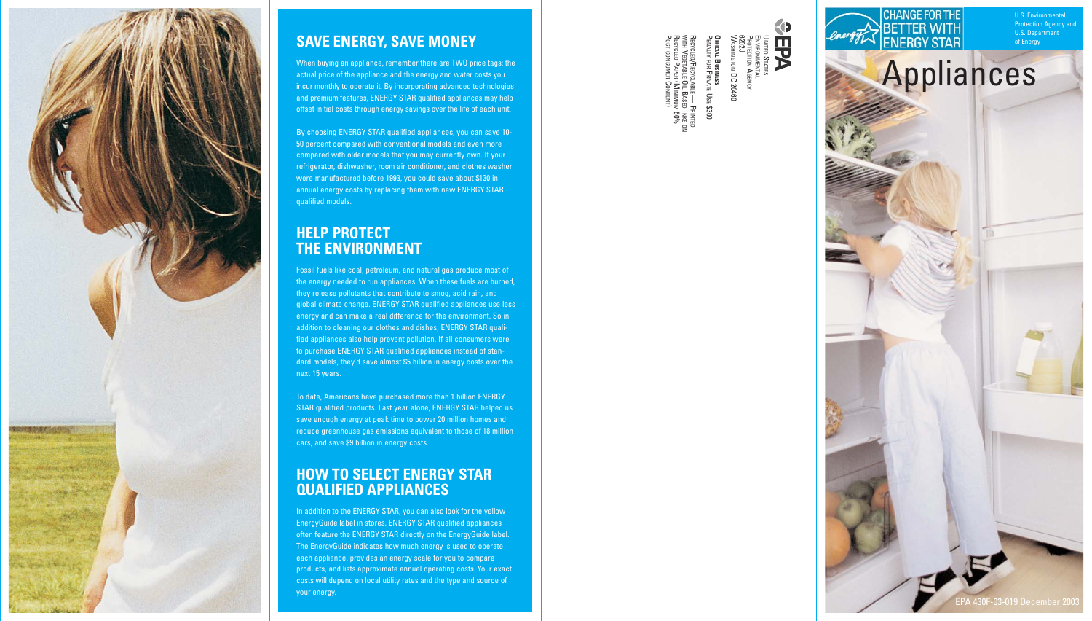PROTECTION AGENCY ENVIRONMENTAL



## **SAVE ENERGY, SAVE MONEY**

When buying an appliance, remember there are TWO price tags: the actual price of the appliance and the energy and water costs you incur monthly to operate it. By incorporating advanced technologies and premium features, ENERGY STAR qualified appliances may help offset initial costs through energy savings over the life of each unit.

By choosing ENERGY STAR qualified appliances, you can save 10- 50 percent compared with conventional models and even more compared with older models that you may currently own. If your refrigerator, dishwasher, room air conditioner, and clothes washer were manufactured before 1993, you could save about \$130 in annual energy costs by replacing them with new ENERGY STAR qualified models.

### **HELP PROTECT THE ENVIRONMENT**

POST-CONSUMER CONTENT) RECYCLED PAPER (MINIMUM 50% WITH VEGETABLE OIL BASED INKS ON RECYCLED/RECYCLABLE — PRINTED PENALTY FOR PRIVATE USE \$3000 **OFFICIAL BUSINESS**  WASHINGTON DC 20460 6202J DFFICIAL BUSINESS<br>Penalty for Private Use \$300 vcled/Recycl<br>+ Vegetable (<br>vcled Paper ( CLABLE —<br>E OIL BASE<br>R (MINIMU<br>R CONTENT - PRINTED<br>ED INKS OT<br>UM 50%

Fossil fuels like coal, petroleum, and natural gas produce most of the energy needed to run appliances. When these fuels are burned, they release pollutants that contribute to smog, acid rain, and global climate change. ENERGY STAR qualified appliances use less energy and can make a real difference for the environment. So in addition to cleaning our clothes and dishes, ENERGY STAR qualified appliances also help prevent pollution. If all consumers were to purchase ENERGY STAR qualified appliances instead of standard models, they'd save almost \$5 billion in energy costs over the next 15 years.

BETTER WITH Appliances

**CHANGE FOR THE** 

of Energy U.S. Department **Protection Agency and** U.S. Environ

To date, Americans have purchased more than 1 billion ENERGY STAR qualified products. Last year alone, ENERGY STAR helped us save enough energy at peak time to power 20 million homes and reduce greenhouse gas emissions equivalent to those of 18 million cars, and save \$9 billion in energy costs.

### **HOW TO SELECT ENERGY STAR QUALIFIED APPLIANCES**

In addition to the ENERGY STAR, you can also look for the yellow EnergyGuide label in stores. ENERGY STAR qualified appliances often feature the ENERGY STAR directly on the EnergyGuide label. The EnergyGuide indicates how much energy is used to operate each appliance, provides an energy scale for you to compare products, and lists approximate annual operating costs. Your exact costs will depend on local utility rates and the type and source of your energy.

UNITED STATES

**KD** 

**FPA** 



EPA 430F-03-019 December 2003